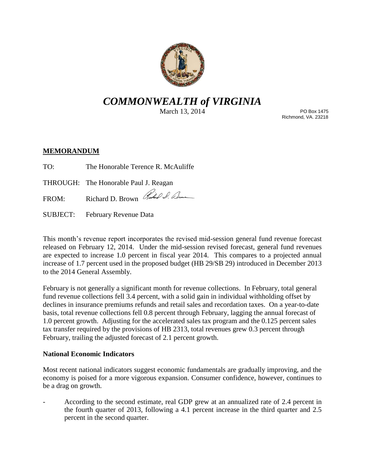

# *COMMONWEALTH of VIRGINIA*

March 13, 2014

PO Box 1475 Richmond, VA. 23218

## **MEMORANDUM**

TO: The Honorable Terence R. McAuliffe

THROUGH: The Honorable Paul J. Reagan

FROM: Richard D. Brown Rubel S. Denne

SUBJECT: February Revenue Data

This month's revenue report incorporates the revised mid-session general fund revenue forecast released on February 12, 2014. Under the mid-session revised forecast, general fund revenues are expected to increase 1.0 percent in fiscal year 2014. This compares to a projected annual increase of 1.7 percent used in the proposed budget (HB 29/SB 29) introduced in December 2013 to the 2014 General Assembly.

February is not generally a significant month for revenue collections. In February, total general fund revenue collections fell 3.4 percent, with a solid gain in individual withholding offset by declines in insurance premiums refunds and retail sales and recordation taxes. On a year-to-date basis, total revenue collections fell 0.8 percent through February, lagging the annual forecast of 1.0 percent growth. Adjusting for the accelerated sales tax program and the 0.125 percent sales tax transfer required by the provisions of HB 2313, total revenues grew 0.3 percent through February, trailing the adjusted forecast of 2.1 percent growth.

## **National Economic Indicators**

Most recent national indicators suggest economic fundamentals are gradually improving, and the economy is poised for a more vigorous expansion. Consumer confidence, however, continues to be a drag on growth.

According to the second estimate, real GDP grew at an annualized rate of 2.4 percent in the fourth quarter of 2013, following a 4.1 percent increase in the third quarter and 2.5 percent in the second quarter.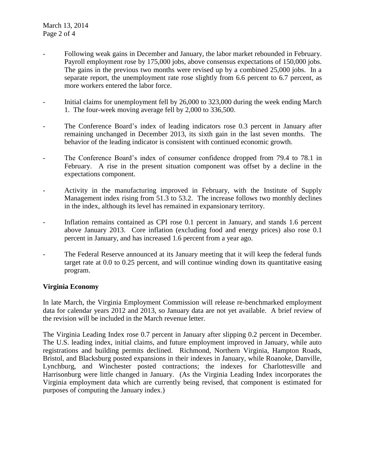- Following weak gains in December and January, the labor market rebounded in February. Payroll employment rose by 175,000 jobs, above consensus expectations of 150,000 jobs. The gains in the previous two months were revised up by a combined 25,000 jobs. In a separate report, the unemployment rate rose slightly from 6.6 percent to 6.7 percent, as more workers entered the labor force.
- Initial claims for unemployment fell by 26,000 to 323,000 during the week ending March 1. The four-week moving average fell by 2,000 to 336,500.
- The Conference Board's index of leading indicators rose 0.3 percent in January after remaining unchanged in December 2013, its sixth gain in the last seven months. The behavior of the leading indicator is consistent with continued economic growth.
- The Conference Board's index of consumer confidence dropped from 79.4 to 78.1 in February. A rise in the present situation component was offset by a decline in the expectations component.
- Activity in the manufacturing improved in February, with the Institute of Supply Management index rising from 51.3 to 53.2. The increase follows two monthly declines in the index, although its level has remained in expansionary territory.
- Inflation remains contained as CPI rose 0.1 percent in January, and stands 1.6 percent above January 2013. Core inflation (excluding food and energy prices) also rose 0.1 percent in January, and has increased 1.6 percent from a year ago.
- The Federal Reserve announced at its January meeting that it will keep the federal funds target rate at 0.0 to 0.25 percent, and will continue winding down its quantitative easing program.

#### **Virginia Economy**

In late March, the Virginia Employment Commission will release re-benchmarked employment data for calendar years 2012 and 2013, so January data are not yet available. A brief review of the revision will be included in the March revenue letter.

The Virginia Leading Index rose 0.7 percent in January after slipping 0.2 percent in December. The U.S. leading index, initial claims, and future employment improved in January, while auto registrations and building permits declined. Richmond, Northern Virginia, Hampton Roads, Bristol, and Blacksburg posted expansions in their indexes in January, while Roanoke, Danville, Lynchburg, and Winchester posted contractions; the indexes for Charlottesville and Harrisonburg were little changed in January. (As the Virginia Leading Index incorporates the Virginia employment data which are currently being revised, that component is estimated for purposes of computing the January index.)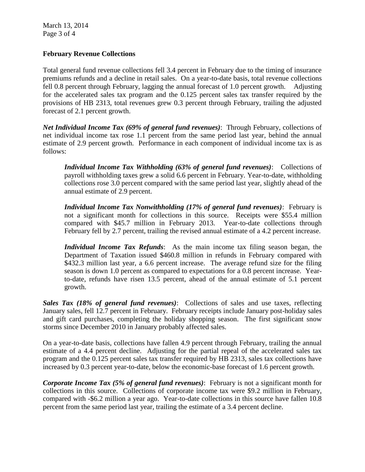March 13, 2014 Page 3 of 4

### **February Revenue Collections**

Total general fund revenue collections fell 3.4 percent in February due to the timing of insurance premiums refunds and a decline in retail sales. On a year-to-date basis, total revenue collections fell 0.8 percent through February, lagging the annual forecast of 1.0 percent growth. Adjusting for the accelerated sales tax program and the 0.125 percent sales tax transfer required by the provisions of HB 2313, total revenues grew 0.3 percent through February, trailing the adjusted forecast of 2.1 percent growth.

*Net Individual Income Tax (69% of general fund revenues)*: Through February, collections of net individual income tax rose 1.1 percent from the same period last year, behind the annual estimate of 2.9 percent growth. Performance in each component of individual income tax is as follows:

*Individual Income Tax Withholding (63% of general fund revenues)*: Collections of payroll withholding taxes grew a solid 6.6 percent in February. Year-to-date, withholding collections rose 3.0 percent compared with the same period last year, slightly ahead of the annual estimate of 2.9 percent.

*Individual Income Tax Nonwithholding (17% of general fund revenues)*: February is not a significant month for collections in this source. Receipts were \$55.4 million compared with \$45.7 million in February 2013. Year-to-date collections through February fell by 2.7 percent, trailing the revised annual estimate of a 4.2 percent increase.

*Individual Income Tax Refunds*: As the main income tax filing season began, the Department of Taxation issued \$460.8 million in refunds in February compared with \$432.3 million last year, a 6.6 percent increase. The average refund size for the filing season is down 1.0 percent as compared to expectations for a 0.8 percent increase. Yearto-date, refunds have risen 13.5 percent, ahead of the annual estimate of 5.1 percent growth.

*Sales Tax (18% of general fund revenues)*: Collections of sales and use taxes, reflecting January sales, fell 12.7 percent in February. February receipts include January post-holiday sales and gift card purchases, completing the holiday shopping season. The first significant snow storms since December 2010 in January probably affected sales.

On a year-to-date basis, collections have fallen 4.9 percent through February, trailing the annual estimate of a 4.4 percent decline. Adjusting for the partial repeal of the accelerated sales tax program and the 0.125 percent sales tax transfer required by HB 2313, sales tax collections have increased by 0.3 percent year-to-date, below the economic-base forecast of 1.6 percent growth.

*Corporate Income Tax (5% of general fund revenues)*: February is not a significant month for collections in this source. Collections of corporate income tax were \$9.2 million in February, compared with -\$6.2 million a year ago. Year-to-date collections in this source have fallen 10.8 percent from the same period last year, trailing the estimate of a 3.4 percent decline.